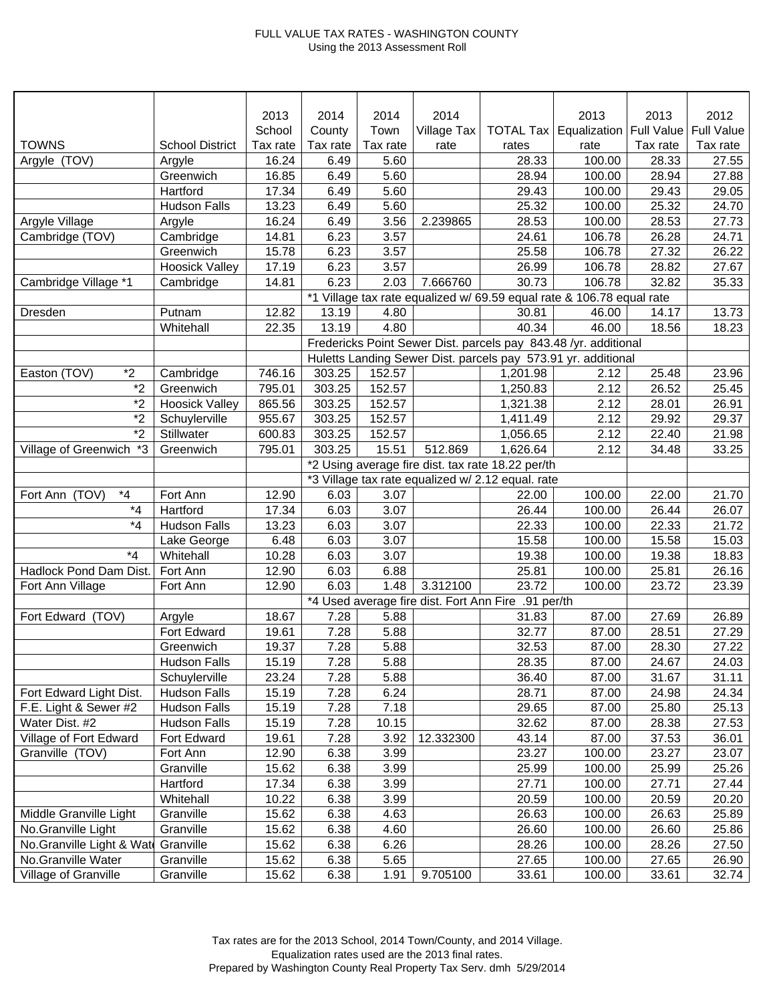## FULL VALUE TAX RATES - WASHINGTON COUNTY Using the 2013 Assessment Roll

|                               |                        | 2013     | 2014                                                                  | 2014     | 2014        |                                                     | 2013                                                            | 2013     | 2012              |
|-------------------------------|------------------------|----------|-----------------------------------------------------------------------|----------|-------------|-----------------------------------------------------|-----------------------------------------------------------------|----------|-------------------|
|                               |                        | School   | County                                                                | Town     | Village Tax |                                                     | <b>TOTAL Tax   Equalization   Full Value</b>                    |          | <b>Full Value</b> |
| <b>TOWNS</b>                  | <b>School District</b> | Tax rate | Tax rate                                                              | Tax rate | rate        | rates                                               | rate                                                            | Tax rate | Tax rate          |
| Argyle (TOV)                  | Argyle                 | 16.24    | 6.49                                                                  | 5.60     |             | 28.33                                               | 100.00                                                          | 28.33    | 27.55             |
|                               | Greenwich              | 16.85    | 6.49                                                                  | 5.60     |             | 28.94                                               | 100.00                                                          | 28.94    | 27.88             |
|                               | Hartford               | 17.34    | 6.49                                                                  | 5.60     |             | 29.43                                               | 100.00                                                          | 29.43    | 29.05             |
|                               | <b>Hudson Falls</b>    | 13.23    | 6.49                                                                  | 5.60     |             | 25.32                                               | 100.00                                                          | 25.32    | 24.70             |
| Argyle Village                | Argyle                 | 16.24    | 6.49                                                                  | 3.56     | 2.239865    | 28.53                                               | 100.00                                                          | 28.53    | 27.73             |
| Cambridge (TOV)               | Cambridge              | 14.81    | 6.23                                                                  | 3.57     |             | 24.61                                               | 106.78                                                          | 26.28    | 24.71             |
|                               | Greenwich              | 15.78    | 6.23                                                                  | 3.57     |             | 25.58                                               | 106.78                                                          | 27.32    | 26.22             |
|                               | <b>Hoosick Valley</b>  | 17.19    | 6.23                                                                  | 3.57     |             | 26.99                                               | 106.78                                                          | 28.82    | 27.67             |
| Cambridge Village *1          | Cambridge              | 14.81    | 6.23                                                                  | 2.03     | 7.666760    | 30.73                                               | 106.78                                                          | 32.82    | 35.33             |
|                               |                        |          | *1 Village tax rate equalized w/ 69.59 equal rate & 106.78 equal rate |          |             |                                                     |                                                                 |          |                   |
| Dresden                       | Putnam                 | 12.82    | 13.19                                                                 | 4.80     |             | 30.81                                               | 46.00                                                           | 14.17    | 13.73             |
|                               | Whitehall              | 22.35    | 13.19                                                                 | 4.80     |             | 40.34                                               | 46.00                                                           | 18.56    | 18.23             |
|                               |                        |          |                                                                       |          |             |                                                     | Fredericks Point Sewer Dist. parcels pay 843.48 /yr. additional |          |                   |
|                               |                        |          |                                                                       |          |             |                                                     | Huletts Landing Sewer Dist. parcels pay 573.91 yr. additional   |          |                   |
| $*2$<br>Easton (TOV)          | Cambridge              | 746.16   | 303.25                                                                | 152.57   |             | 1,201.98                                            | 2.12                                                            | 25.48    | 23.96             |
| $\overline{2}$                | Greenwich              | 795.01   | 303.25                                                                | 152.57   |             | 1,250.83                                            | 2.12                                                            | 26.52    | 25.45             |
| $*_{2}$                       | <b>Hoosick Valley</b>  | 865.56   | 303.25                                                                | 152.57   |             | 1,321.38                                            | 2.12                                                            | 28.01    | 26.91             |
| $*_{2}$                       | Schuylerville          | 955.67   | 303.25                                                                | 152.57   |             | 1,411.49                                            | 2.12                                                            | 29.92    | 29.37             |
| $*_{2}$                       | Stillwater             | 600.83   | 303.25                                                                | 152.57   |             | 1,056.65                                            | 2.12                                                            | 22.40    | 21.98             |
| *3<br>Village of Greenwich    | Greenwich              | 795.01   | 303.25                                                                | 15.51    | 512.869     | 1,626.64                                            | 2.12                                                            | 34.48    | 33.25             |
|                               |                        |          |                                                                       |          |             | *2 Using average fire dist. tax rate 18.22 per/th   |                                                                 |          |                   |
|                               |                        |          |                                                                       |          |             | *3 Village tax rate equalized w/ 2.12 equal. rate   |                                                                 |          |                   |
| $^{\star}4$<br>Fort Ann (TOV) | Fort Ann               | 12.90    | 6.03                                                                  | 3.07     |             | 22.00                                               | 100.00                                                          | 22.00    | 21.70             |
| $*_{4}$                       | Hartford               | 17.34    | 6.03                                                                  | 3.07     |             | 26.44                                               | 100.00                                                          | 26.44    | 26.07             |
| $*_{4}$                       | <b>Hudson Falls</b>    | 13.23    | 6.03                                                                  | 3.07     |             | 22.33                                               | 100.00                                                          | 22.33    | 21.72             |
|                               | Lake George            | 6.48     | 6.03                                                                  | 3.07     |             | 15.58                                               | 100.00                                                          | 15.58    | 15.03             |
| $*_{4}$                       | Whitehall              | 10.28    | 6.03                                                                  | 3.07     |             | 19.38                                               | 100.00                                                          | 19.38    | 18.83             |
| Hadlock Pond Dam Dist.        | Fort Ann               | 12.90    | 6.03                                                                  | 6.88     |             | 25.81                                               | 100.00                                                          | 25.81    | 26.16             |
| Fort Ann Village              | Fort Ann               | 12.90    | 6.03                                                                  | 1.48     | 3.312100    | 23.72                                               | 100.00                                                          | 23.72    | 23.39             |
|                               |                        |          |                                                                       |          |             | *4 Used average fire dist. Fort Ann Fire .91 per/th |                                                                 |          |                   |
| Fort Edward (TOV)             | Argyle                 | 18.67    | 7.28                                                                  | 5.88     |             | 31.83                                               | 87.00                                                           | 27.69    | 26.89             |
|                               | Fort Edward            | 19.61    | 7.28                                                                  | 5.88     |             | 32.77                                               | 87.00                                                           | 28.51    | 27.29             |
|                               | Greenwich              | 19.37    | 7.28                                                                  | 5.88     |             | 32.53                                               | 87.00                                                           | 28.30    | 27.22             |
|                               | Hudson Falls           | 15.19    | 7.28                                                                  | 5.88     |             | 28.35                                               | 87.00                                                           | 24.67    | 24.03             |
|                               | Schuylerville          | 23.24    | 7.28                                                                  | 5.88     |             | 36.40                                               | 87.00                                                           | 31.67    | 31.11             |
| Fort Edward Light Dist.       | <b>Hudson Falls</b>    | 15.19    | 7.28                                                                  | 6.24     |             | 28.71                                               | 87.00                                                           | 24.98    | 24.34             |
| F.E. Light & Sewer #2         | <b>Hudson Falls</b>    | 15.19    | 7.28                                                                  | 7.18     |             | 29.65                                               | 87.00                                                           | 25.80    | 25.13             |
| Water Dist. #2                | <b>Hudson Falls</b>    | 15.19    | 7.28                                                                  | 10.15    |             | 32.62                                               | 87.00                                                           | 28.38    | 27.53             |
| Village of Fort Edward        | Fort Edward            | 19.61    | 7.28                                                                  | 3.92     | 12.332300   | 43.14                                               | 87.00                                                           | 37.53    | 36.01             |
| Granville (TOV)               | Fort Ann               | 12.90    | 6.38                                                                  | 3.99     |             | 23.27                                               | 100.00                                                          | 23.27    | 23.07             |
|                               | Granville              | 15.62    | 6.38                                                                  | 3.99     |             | 25.99                                               | 100.00                                                          | 25.99    | 25.26             |
|                               | Hartford               | 17.34    | 6.38                                                                  | 3.99     |             | 27.71                                               | 100.00                                                          | 27.71    | 27.44             |
|                               | Whitehall              | 10.22    | 6.38                                                                  | 3.99     |             | 20.59                                               | 100.00                                                          | 20.59    | 20.20             |
| Middle Granville Light        | Granville              | 15.62    | 6.38                                                                  | 4.63     |             | 26.63                                               | 100.00                                                          | 26.63    | 25.89             |
| No.Granville Light            | Granville              | 15.62    | 6.38                                                                  | 4.60     |             | 26.60                                               | 100.00                                                          | 26.60    | 25.86             |
| No.Granville Light & Wate     | Granville              | 15.62    | 6.38                                                                  | 6.26     |             | 28.26                                               | 100.00                                                          | 28.26    | 27.50             |
| No.Granville Water            | Granville              | 15.62    | 6.38                                                                  | 5.65     |             | 27.65                                               | 100.00                                                          | 27.65    | 26.90             |
| Village of Granville          | Granville              | 15.62    | 6.38                                                                  | 1.91     | 9.705100    | 33.61                                               | 100.00                                                          | 33.61    | 32.74             |